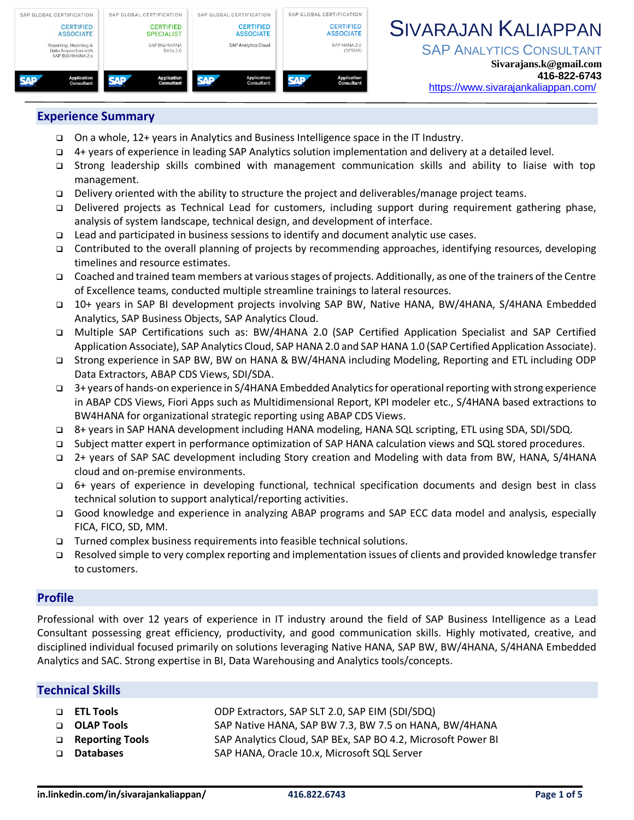

# SIVARAJAN KALIAPPAN

**SAP ANALYTICS CONSULTANT** 

### **Experience Summary**

- ❑ On a whole, 12+ years in Analytics and Business Intelligence space in the IT Industry.
- ❑ 4+ years of experience in leading SAP Analytics solution implementation and delivery at a detailed level.
- ❑ Strong leadership skills combined with management communication skills and ability to liaise with top management.
- ❑ Delivery oriented with the ability to structure the project and deliverables/manage project teams.
- ❑ Delivered projects as Technical Lead for customers, including support during requirement gathering phase, analysis of system landscape, technical design, and development of interface.
- ❑ Lead and participated in business sessions to identify and document analytic use cases.
- ❑ Contributed to the overall planning of projects by recommending approaches, identifying resources, developing timelines and resource estimates.
- ❑ Coached and trained team members at various stages of projects. Additionally, as one of the trainers of the Centre of Excellence teams, conducted multiple streamline trainings to lateral resources.
- ❑ 10+ years in SAP BI development projects involving SAP BW, Native HANA, BW/4HANA, S/4HANA Embedded Analytics, SAP Business Objects, SAP Analytics Cloud.
- ❑ Multiple SAP Certifications such as: BW/4HANA 2.0 (SAP Certified Application Specialist and SAP Certified Application Associate), SAP Analytics Cloud, SAP HANA 2.0 and SAP HANA 1.0 (SAP Certified Application Associate).
- ❑ Strong experience in SAP BW, BW on HANA & BW/4HANA including Modeling, Reporting and ETL including ODP Data Extractors, ABAP CDS Views, SDI/SDA.
- ❑ 3+ years of hands-on experience in S/4HANA Embedded Analyticsfor operational reporting with strong experience in ABAP CDS Views, Fiori Apps such as Multidimensional Report, KPI modeler etc., S/4HANA based extractions to BW4HANA for organizational strategic reporting using ABAP CDS Views.
- ❑ 8+ years in SAP HANA development including HANA modeling, HANA SQL scripting, ETL using SDA, SDI/SDQ.
- ❑ Subject matter expert in performance optimization of SAP HANA calculation views and SQL stored procedures.
- ❑ 2+ years of SAP SAC development including Story creation and Modeling with data from BW, HANA, S/4HANA cloud and on-premise environments.
- ❑ 6+ years of experience in developing functional, technical specification documents and design best in class technical solution to support analytical/reporting activities.
- ❑ Good knowledge and experience in analyzing ABAP programs and SAP ECC data model and analysis, especially FICA, FICO, SD, MM.
- ❑ Turned complex business requirements into feasible technical solutions.
- ❑ Resolved simple to very complex reporting and implementation issues of clients and provided knowledge transfer to customers.

### **Profile**

Professional with over 12 years of experience in IT industry around the field of SAP Business Intelligence as a Lead Consultant possessing great efficiency, productivity, and good communication skills. Highly motivated, creative, and disciplined individual focused primarily on solutions leveraging Native HANA, SAP BW, BW/4HANA, S/4HANA Embedded Analytics and SAC. Strong expertise in BI, Data Warehousing and Analytics tools/concepts.

#### **Technical Skills**

| $\Box$ ETL Tools  | ODP Extractors, SAP SLT 2.0, SAP EIM (SDI/SDQ)               |
|-------------------|--------------------------------------------------------------|
| □ OLAP Tools      | SAP Native HANA, SAP BW 7.3, BW 7.5 on HANA, BW/4HANA        |
| □ Reporting Tools | SAP Analytics Cloud, SAP BEx, SAP BO 4.2, Microsoft Power BI |
| □ Databases       | SAP HANA, Oracle 10.x, Microsoft SQL Server                  |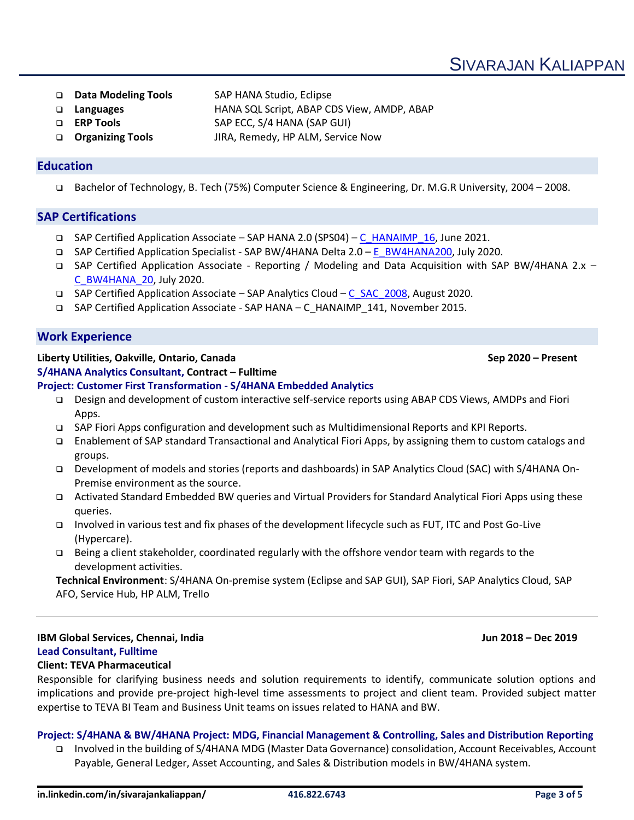SIVARAJAN KALIAPPAN

- ❑ **Data Modeling Tools** SAP HANA Studio, Eclipse
- ❑ **Languages** HANA SQL Script, ABAP CDS View, AMDP, ABAP
- ❑ **ERP Tools** SAP ECC, S/4 HANA (SAP GUI)
- ❑ **Organizing Tools** JIRA, Remedy, HP ALM, Service Now

# **Education**

❑ Bachelor of Technology, B. Tech (75%) Computer Science & Engineering, Dr. M.G.R University, 2004 – 2008.

# **SAP Certifications**

- ❑ SAP Certified Application Associate SAP HANA 2.0 (SPS04) [C\\_HANAIMP\\_16,](about:blank) June 2021.
- ❑ SAP Certified Application Specialist SAP BW/4HANA Delta 2.0 [E\\_BW4HANA200,](about:blank) July 2020.
- ❑ SAP Certified Application Associate Reporting / Modeling and Data Acquisition with SAP BW/4HANA 2.x [C\\_BW4HANA\\_20,](about:blank) July 2020.
- ❑ SAP Certified Application Associate SAP Analytics Cloud [C\\_SAC\\_2008,](about:blank) August 2020.
- ❑ SAP Certified Application Associate SAP HANA C\_HANAIMP\_141, November 2015.

# **Work Experience**

#### **Liberty Utilities, Oakville, Ontario, Canada Sep 2020 – Present S/4HANA Analytics Consultant, Contract – Fulltime**

# **Project: Customer First Transformation - S/4HANA Embedded Analytics**

- ❑ Design and development of custom interactive self-service reports using ABAP CDS Views, AMDPs and Fiori Apps.
- ❑ SAP Fiori Apps configuration and development such as Multidimensional Reports and KPI Reports.
- ❑ Enablement of SAP standard Transactional and Analytical Fiori Apps, by assigning them to custom catalogs and groups.
- ❑ Development of models and stories (reports and dashboards) in SAP Analytics Cloud (SAC) with S/4HANA On-Premise environment as the source.
- ❑ Activated Standard Embedded BW queries and Virtual Providers for Standard Analytical Fiori Apps using these queries.
- ❑ Involved in various test and fix phases of the development lifecycle such as FUT, ITC and Post Go-Live (Hypercare).
- ❑ Being a client stakeholder, coordinated regularly with the offshore vendor team with regards to the development activities.

**Technical Environment**: S/4HANA On-premise system (Eclipse and SAP GUI), SAP Fiori, SAP Analytics Cloud, SAP AFO, Service Hub, HP ALM, Trello

# **IBM Global Services, Chennai, India Jun 2018 – Dec 2019 Lead Consultant, Fulltime**

### **Client: TEVA Pharmaceutical**

Responsible for clarifying business needs and solution requirements to identify, communicate solution options and implications and provide pre-project high-level time assessments to project and client team. Provided subject matter expertise to TEVA BI Team and Business Unit teams on issues related to HANA and BW.

# **Project: S/4HANA & BW/4HANA Project: MDG, Financial Management & Controlling, Sales and Distribution Reporting**

❑ Involved in the building of S/4HANA MDG (Master Data Governance) consolidation, Account Receivables, Account Payable, General Ledger, Asset Accounting, and Sales & Distribution models in BW/4HANA system.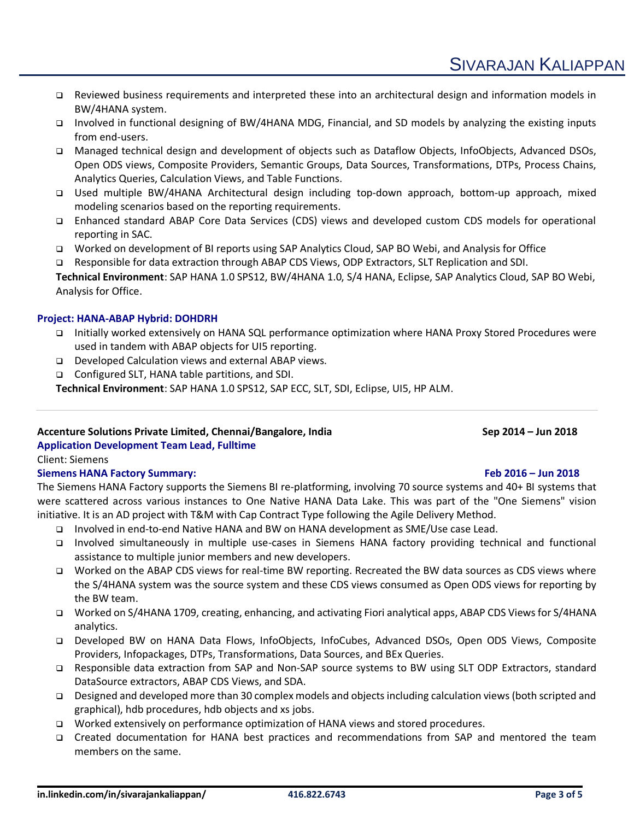- ❑ Reviewed business requirements and interpreted these into an architectural design and information models in BW/4HANA system.
- ❑ Involved in functional designing of BW/4HANA MDG, Financial, and SD models by analyzing the existing inputs from end-users.
- ❑ Managed technical design and development of objects such as Dataflow Objects, InfoObjects, Advanced DSOs, Open ODS views, Composite Providers, Semantic Groups, Data Sources, Transformations, DTPs, Process Chains, Analytics Queries, Calculation Views, and Table Functions.
- ❑ Used multiple BW/4HANA Architectural design including top-down approach, bottom-up approach, mixed modeling scenarios based on the reporting requirements.
- ❑ Enhanced standard ABAP Core Data Services (CDS) views and developed custom CDS models for operational reporting in SAC.
- ❑ Worked on development of BI reports using SAP Analytics Cloud, SAP BO Webi, and Analysis for Office
- ❑ Responsible for data extraction through ABAP CDS Views, ODP Extractors, SLT Replication and SDI.

**Technical Environment**: SAP HANA 1.0 SPS12, BW/4HANA 1.0, S/4 HANA, Eclipse, SAP Analytics Cloud, SAP BO Webi, Analysis for Office.

# **Project: HANA-ABAP Hybrid: DOHDRH**

- ❑ Initially worked extensively on HANA SQL performance optimization where HANA Proxy Stored Procedures were used in tandem with ABAP objects for UI5 reporting.
- ❑ Developed Calculation views and external ABAP views.
- ❑ Configured SLT, HANA table partitions, and SDI.

**Technical Environment**: SAP HANA 1.0 SPS12, SAP ECC, SLT, SDI, Eclipse, UI5, HP ALM.

# **Accenture Solutions Private Limited, Chennai/Bangalore, India Sep 2014 – Jun 2018**

**Application Development Team Lead, Fulltime** Client: Siemens

# **Siemens HANA Factory Summary: Feb 2016 – Jun 2018**

The Siemens HANA Factory supports the Siemens BI re-platforming, involving 70 source systems and 40+ BI systems that were scattered across various instances to One Native HANA Data Lake. This was part of the "One Siemens" vision initiative. It is an AD project with T&M with Cap Contract Type following the Agile Delivery Method.

- ❑ Involved in end-to-end Native HANA and BW on HANA development as SME/Use case Lead.
- ❑ Involved simultaneously in multiple use-cases in Siemens HANA factory providing technical and functional assistance to multiple junior members and new developers.
- ❑ Worked on the ABAP CDS views for real-time BW reporting. Recreated the BW data sources as CDS views where the S/4HANA system was the source system and these CDS views consumed as Open ODS views for reporting by the BW team.
- ❑ Worked on S/4HANA 1709, creating, enhancing, and activating Fiori analytical apps, ABAP CDS Views for S/4HANA analytics.
- ❑ Developed BW on HANA Data Flows, InfoObjects, InfoCubes, Advanced DSOs, Open ODS Views, Composite Providers, Infopackages, DTPs, Transformations, Data Sources, and BEx Queries.
- ❑ Responsible data extraction from SAP and Non-SAP source systems to BW using SLT ODP Extractors, standard DataSource extractors, ABAP CDS Views, and SDA.
- ❑ Designed and developed more than 30 complex models and objects including calculation views (both scripted and graphical), hdb procedures, hdb objects and xs jobs.
- ❑ Worked extensively on performance optimization of HANA views and stored procedures.
- ❑ Created documentation for HANA best practices and recommendations from SAP and mentored the team members on the same.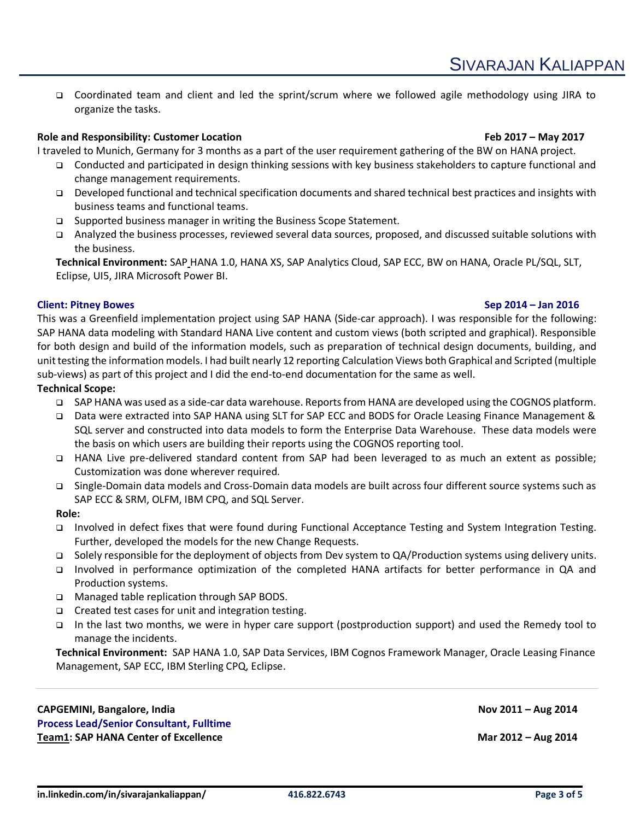❑ Coordinated team and client and led the sprint/scrum where we followed agile methodology using JIRA to organize the tasks.

# **Role and Responsibility: Customer Location Feb 2017 – May 2017**

I traveled to Munich, Germany for 3 months as a part of the user requirement gathering of the BW on HANA project.

- ❑ Conducted and participated in design thinking sessions with key business stakeholders to capture functional and change management requirements.
- ❑ Developed functional and technical specification documents and shared technical best practices and insights with business teams and functional teams.
- ❑ Supported business manager in writing the Business Scope Statement.
- ❑ Analyzed the business processes, reviewed several data sources, proposed, and discussed suitable solutions with the business.

**Technical Environment:** SAP HANA 1.0, HANA XS, SAP Analytics Cloud, SAP ECC, BW on HANA, Oracle PL/SQL, SLT, Eclipse, UI5, JIRA Microsoft Power BI.

### **Client: Pitney Bowes Sep 2014 – Jan 2016**

This was a Greenfield implementation project using SAP HANA (Side-car approach). I was responsible for the following: SAP HANA data modeling with Standard HANA Live content and custom views (both scripted and graphical). Responsible for both design and build of the information models, such as preparation of technical design documents, building, and unit testing the information models. I had built nearly 12 reporting Calculation Views both Graphical and Scripted (multiple sub-views) as part of this project and I did the end-to-end documentation for the same as well.

#### **Technical Scope:**

- ❑ SAP HANA was used as a side-car data warehouse. Reportsfrom HANA are developed using the COGNOS platform.
- ❑ Data were extracted into SAP HANA using SLT for SAP ECC and BODS for Oracle Leasing Finance Management & SQL server and constructed into data models to form the Enterprise Data Warehouse. These data models were the basis on which users are building their reports using the COGNOS reporting tool.
- ❑ HANA Live pre-delivered standard content from SAP had been leveraged to as much an extent as possible; Customization was done wherever required.
- ❑ Single-Domain data models and Cross-Domain data models are built across four different source systems such as SAP ECC & SRM, OLFM, IBM CPQ, and SQL Server.

#### **Role:**

- ❑ Involved in defect fixes that were found during Functional Acceptance Testing and System Integration Testing. Further, developed the models for the new Change Requests.
- ❑ Solely responsible for the deployment of objects from Dev system to QA/Production systems using delivery units.
- ❑ Involved in performance optimization of the completed HANA artifacts for better performance in QA and Production systems.
- ❑ Managed table replication through SAP BODS.
- ❑ Created test cases for unit and integration testing.
- ❑ In the last two months, we were in hyper care support (postproduction support) and used the Remedy tool to manage the incidents.

**Technical Environment:** SAP HANA 1.0, SAP Data Services, IBM Cognos Framework Manager, Oracle Leasing Finance Management, SAP ECC, IBM Sterling CPQ, Eclipse.

#### **CAPGEMINI, Bangalore, India Nov 2011 – Aug 2014 Process Lead/Senior Consultant, Fulltime Team1: SAP HANA Center of Excellence Mar 2012 – Aug 2014**